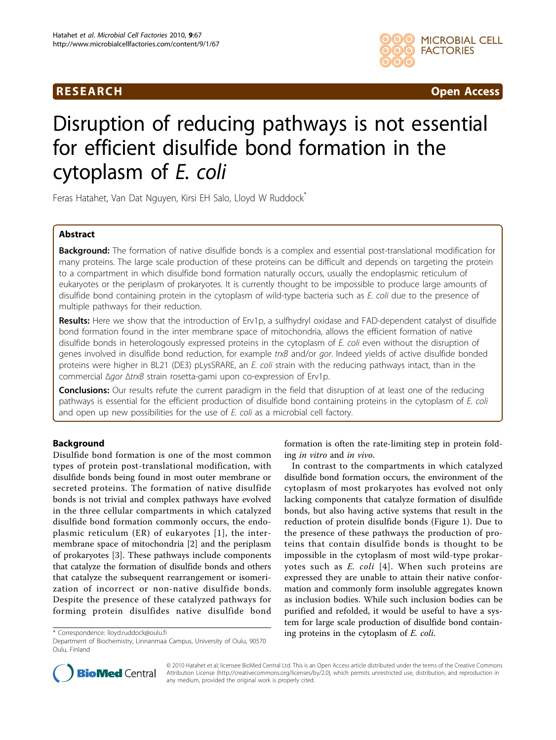

**RESEARCH Open Access** 

# Disruption of reducing pathways is not essential for efficient disulfide bond formation in the cytoplasm of E. coli

Feras Hatahet, Van Dat Nguyen, Kirsi EH Salo, Lloyd W Ruddock\*

# Abstract

**Background:** The formation of native disulfide bonds is a complex and essential post-translational modification for many proteins. The large scale production of these proteins can be difficult and depends on targeting the protein to a compartment in which disulfide bond formation naturally occurs, usually the endoplasmic reticulum of eukaryotes or the periplasm of prokaryotes. It is currently thought to be impossible to produce large amounts of disulfide bond containing protein in the cytoplasm of wild-type bacteria such as E. coli due to the presence of multiple pathways for their reduction.

Results: Here we show that the introduction of Erv1p, a sulfhydryl oxidase and FAD-dependent catalyst of disulfide bond formation found in the inter membrane space of mitochondria, allows the efficient formation of native disulfide bonds in heterologously expressed proteins in the cytoplasm of E. coli even without the disruption of genes involved in disulfide bond reduction, for example trxB and/or gor. Indeed yields of active disulfide bonded proteins were higher in BL21 (DE3) pLysSRARE, an E. coli strain with the reducing pathways intact, than in the commercial Δgor ΔtrxB strain rosetta-gami upon co-expression of Erv1p.

**Conclusions:** Our results refute the current paradigm in the field that disruption of at least one of the reducing pathways is essential for the efficient production of disulfide bond containing proteins in the cytoplasm of E. coli and open up new possibilities for the use of E. coli as a microbial cell factory.

# Background

Disulfide bond formation is one of the most common types of protein post-translational modification, with disulfide bonds being found in most outer membrane or secreted proteins. The formation of native disulfide bonds is not trivial and complex pathways have evolved in the three cellular compartments in which catalyzed disulfide bond formation commonly occurs, the endoplasmic reticulum (ER) of eukaryotes [\[1\]](#page-8-0), the intermembrane space of mitochondria [[2\]](#page-8-0) and the periplasm of prokaryotes [\[3](#page-8-0)]. These pathways include components that catalyze the formation of disulfide bonds and others that catalyze the subsequent rearrangement or isomerization of incorrect or non-native disulfide bonds. Despite the presence of these catalyzed pathways for forming protein disulfides native disulfide bond

formation is often the rate-limiting step in protein folding in vitro and in vivo.

In contrast to the compartments in which catalyzed disulfide bond formation occurs, the environment of the cytoplasm of most prokaryotes has evolved not only lacking components that catalyze formation of disulfide bonds, but also having active systems that result in the reduction of protein disulfide bonds (Figure [1](#page-1-0)). Due to the presence of these pathways the production of proteins that contain disulfide bonds is thought to be impossible in the cytoplasm of most wild-type prokaryotes such as *E. coli* [[4](#page-8-0)]. When such proteins are expressed they are unable to attain their native conformation and commonly form insoluble aggregates known as inclusion bodies. While such inclusion bodies can be purified and refolded, it would be useful to have a system for large scale production of disulfide bond contain-



© 2010 Hatahet et al; licensee BioMed Central Ltd. This is an Open Access article distributed under the terms of the Creative Commons Attribution License [\(http://creativecommons.org/licenses/by/2.0](http://creativecommons.org/licenses/by/2.0)), which permits unrestricted use, distribution, and reproduction in any medium, provided the original work is properly cited.

<sup>\*</sup> Correspondence: [lloyd.ruddock@oulu.fi](mailto:lloyd.ruddock@oulu.fi) ing proteins in the cytoplasm of E. coli. Department of Biochemistry, Linnanmaa Campus, University of Oulu, 90570 Oulu, Finland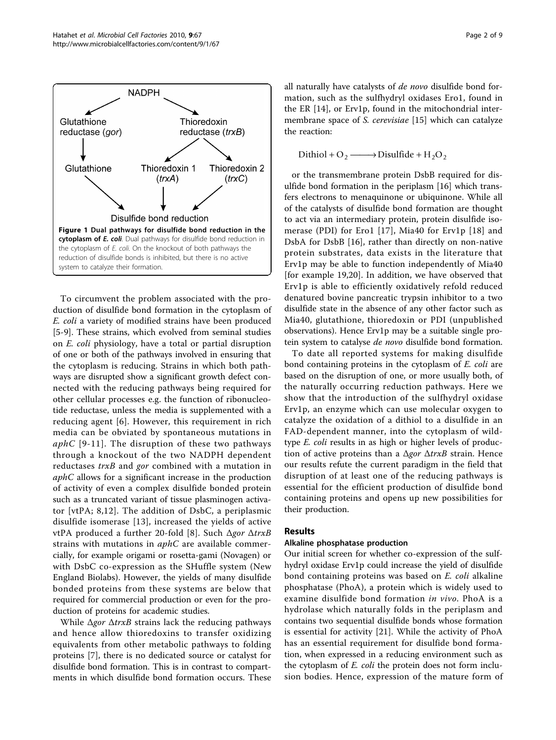<span id="page-1-0"></span>

To circumvent the problem associated with the production of disulfide bond formation in the cytoplasm of E. coli a variety of modified strains have been produced [[5-9](#page-8-0)]. These strains, which evolved from seminal studies on E. coli physiology, have a total or partial disruption of one or both of the pathways involved in ensuring that the cytoplasm is reducing. Strains in which both pathways are disrupted show a significant growth defect connected with the reducing pathways being required for other cellular processes e.g. the function of ribonucleotide reductase, unless the media is supplemented with a reducing agent [[6\]](#page-8-0). However, this requirement in rich media can be obviated by spontaneous mutations in aphC [[9](#page-8-0)-[11](#page-8-0)]. The disruption of these two pathways through a knockout of the two NADPH dependent reductases trxB and gor combined with a mutation in aphC allows for a significant increase in the production of activity of even a complex disulfide bonded protein such as a truncated variant of tissue plasminogen activator [vtPA; 8,12]. The addition of DsbC, a periplasmic disulfide isomerase [[13](#page-8-0)], increased the yields of active vtPA produced a further 20-fold [[8\]](#page-8-0). Such Δgor ΔtrxB strains with mutations in  $aphC$  are available commercially, for example origami or rosetta-gami (Novagen) or with DsbC co-expression as the SHuffle system (New England Biolabs). However, the yields of many disulfide bonded proteins from these systems are below that required for commercial production or even for the production of proteins for academic studies.

While  $\Delta g$ or  $\Delta trxB$  strains lack the reducing pathways and hence allow thioredoxins to transfer oxidizing equivalents from other metabolic pathways to folding proteins [[7](#page-8-0)], there is no dedicated source or catalyst for disulfide bond formation. This is in contrast to compartments in which disulfide bond formation occurs. These all naturally have catalysts of de novo disulfide bond formation, such as the sulfhydryl oxidases Ero1, found in the ER [\[14](#page-8-0)], or Erv1p, found in the mitochondrial inter-membrane space of S. cerevisiae [[15](#page-8-0)] which can catalyze the reaction:

Dithiol +  $O_2 \longrightarrow$  Disulfide +  $H_2O_2$ 

or the transmembrane protein DsbB required for disulfide bond formation in the periplasm [\[16\]](#page-8-0) which transfers electrons to menaquinone or ubiquinone. While all of the catalysts of disulfide bond formation are thought to act via an intermediary protein, protein disulfide isomerase (PDI) for Ero1 [[17](#page-8-0)], Mia40 for Erv1p [[18](#page-8-0)] and DsbA for DsbB [[16\]](#page-8-0), rather than directly on non-native protein substrates, data exists in the literature that Erv1p may be able to function independently of Mia40 [for example 19,20]. In addition, we have observed that Erv1p is able to efficiently oxidatively refold reduced denatured bovine pancreatic trypsin inhibitor to a two disulfide state in the absence of any other factor such as Mia40, glutathione, thioredoxin or PDI (unpublished observations). Hence Erv1p may be a suitable single protein system to catalyse de novo disulfide bond formation.

To date all reported systems for making disulfide bond containing proteins in the cytoplasm of E. coli are based on the disruption of one, or more usually both, of the naturally occurring reduction pathways. Here we show that the introduction of the sulfhydryl oxidase Erv1p, an enzyme which can use molecular oxygen to catalyze the oxidation of a dithiol to a disulfide in an FAD-dependent manner, into the cytoplasm of wildtype E. coli results in as high or higher levels of production of active proteins than a  $\Delta g$ or  $\Delta trxB$  strain. Hence our results refute the current paradigm in the field that disruption of at least one of the reducing pathways is essential for the efficient production of disulfide bond containing proteins and opens up new possibilities for their production.

# Results

# Alkaline phosphatase production

Our initial screen for whether co-expression of the sulfhydryl oxidase Erv1p could increase the yield of disulfide bond containing proteins was based on *E. coli* alkaline phosphatase (PhoA), a protein which is widely used to examine disulfide bond formation in vivo. PhoA is a hydrolase which naturally folds in the periplasm and contains two sequential disulfide bonds whose formation is essential for activity [[21\]](#page-8-0). While the activity of PhoA has an essential requirement for disulfide bond formation, when expressed in a reducing environment such as the cytoplasm of E. coli the protein does not form inclusion bodies. Hence, expression of the mature form of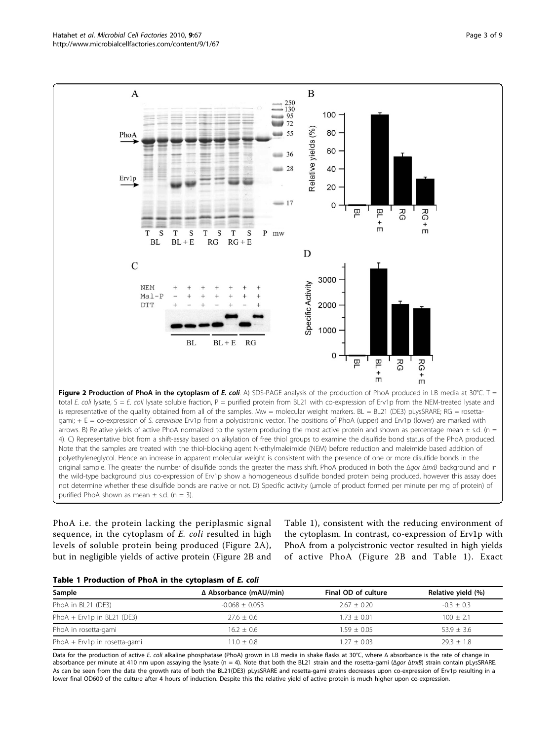<span id="page-2-0"></span>

PhoA i.e. the protein lacking the periplasmic signal sequence, in the cytoplasm of *E. coli* resulted in high levels of soluble protein being produced (Figure 2A), but in negligible yields of active protein (Figure 2B and Table 1), consistent with the reducing environment of the cytoplasm. In contrast, co-expression of Erv1p with PhoA from a polycistronic vector resulted in high yields of active PhoA (Figure 2B and Table 1). Exact

|  |  | Table 1 Production of PhoA in the cytoplasm of E. coli |  |  |  |  |  |  |  |  |  |
|--|--|--------------------------------------------------------|--|--|--|--|--|--|--|--|--|
|--|--|--------------------------------------------------------|--|--|--|--|--|--|--|--|--|

| Sample                        | ∆ Absorbance (mAU/min) | Final OD of culture | Relative yield (%) |
|-------------------------------|------------------------|---------------------|--------------------|
| PhoA in BL21 (DE3)            | $-0.068 \pm 0.053$     | $2.67 \pm 0.20$     | $-0.3 + 0.3$       |
| PhoA + Erv1p in BL21 (DE3)    | $27.6 + 0.6$           | $1.73 + 0.01$       | $100 + 2.1$        |
| PhoA in rosetta-gami          | $16.2 + 0.6$           | $1.59 + 0.05$       | $53.9 + 3.6$       |
| PhoA + $Ev1p$ in rosetta-gami | $11.0 + 0.8$           | $1.27 + 0.03$       | $79.3 + 1.8$       |

Data for the production of active E. coli alkaline phosphatase (PhoA) grown in LB media in shake flasks at 30°C, where Δ absorbance is the rate of change in absorbance per minute at 410 nm upon assaying the lysate (n = 4). Note that both the BL21 strain and the rosetta-gami (Δgor ΔtrxB) strain contain pLysSRARE. As can be seen from the data the growth rate of both the BL21(DE3) pLysSRARE and rosetta-gami strains decreases upon co-expression of Erv1p resulting in a lower final OD600 of the culture after 4 hours of induction. Despite this the relative yield of active protein is much higher upon co-expression.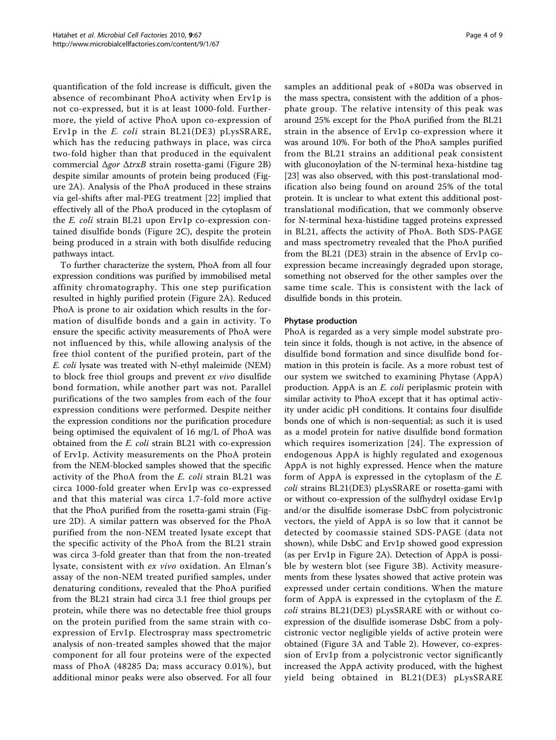quantification of the fold increase is difficult, given the absence of recombinant PhoA activity when Erv1p is not co-expressed, but it is at least 1000-fold. Furthermore, the yield of active PhoA upon co-expression of Erv1p in the E. coli strain BL21(DE3) pLysSRARE, which has the reducing pathways in place, was circa two-fold higher than that produced in the equivalent commercial Δgor ΔtrxB strain rosetta-gami (Figure [2B](#page-2-0)) despite similar amounts of protein being produced (Figure [2A](#page-2-0)). Analysis of the PhoA produced in these strains via gel-shifts after mal-PEG treatment [[22](#page-8-0)] implied that effectively all of the PhoA produced in the cytoplasm of the E. coli strain BL21 upon Erv1p co-expression contained disulfide bonds (Figure [2C](#page-2-0)), despite the protein being produced in a strain with both disulfide reducing pathways intact.

To further characterize the system, PhoA from all four expression conditions was purified by immobilised metal affinity chromatography. This one step purification resulted in highly purified protein (Figure [2A\)](#page-2-0). Reduced PhoA is prone to air oxidation which results in the formation of disulfide bonds and a gain in activity. To ensure the specific activity measurements of PhoA were not influenced by this, while allowing analysis of the free thiol content of the purified protein, part of the E. coli lysate was treated with N-ethyl maleimide (NEM) to block free thiol groups and prevent ex vivo disulfide bond formation, while another part was not. Parallel purifications of the two samples from each of the four expression conditions were performed. Despite neither the expression conditions nor the purification procedure being optimised the equivalent of 16 mg/L of PhoA was obtained from the E. coli strain BL21 with co-expression of Erv1p. Activity measurements on the PhoA protein from the NEM-blocked samples showed that the specific activity of the PhoA from the E. coli strain BL21 was circa 1000-fold greater when Erv1p was co-expressed and that this material was circa 1.7-fold more active that the PhoA purified from the rosetta-gami strain (Figure [2D\)](#page-2-0). A similar pattern was observed for the PhoA purified from the non-NEM treated lysate except that the specific activity of the PhoA from the BL21 strain was circa 3-fold greater than that from the non-treated lysate, consistent with ex vivo oxidation. An Elman's assay of the non-NEM treated purified samples, under denaturing conditions, revealed that the PhoA purified from the BL21 strain had circa 3.1 free thiol groups per protein, while there was no detectable free thiol groups on the protein purified from the same strain with coexpression of Erv1p. Electrospray mass spectrometric analysis of non-treated samples showed that the major component for all four proteins were of the expected mass of PhoA (48285 Da; mass accuracy 0.01%), but additional minor peaks were also observed. For all four samples an additional peak of +80Da was observed in the mass spectra, consistent with the addition of a phosphate group. The relative intensity of this peak was around 25% except for the PhoA purified from the BL21 strain in the absence of Erv1p co-expression where it was around 10%. For both of the PhoA samples purified from the BL21 strains an additional peak consistent with gluconoylation of the N-terminal hexa-histdine tag [[23\]](#page-8-0) was also observed, with this post-translational modification also being found on around 25% of the total protein. It is unclear to what extent this additional posttranslational modification, that we commonly observe for N-terminal hexa-histidine tagged proteins expressed in BL21, affects the activity of PhoA. Both SDS-PAGE and mass spectrometry revealed that the PhoA purified from the BL21 (DE3) strain in the absence of Erv1p coexpression became increasingly degraded upon storage, something not observed for the other samples over the same time scale. This is consistent with the lack of disulfide bonds in this protein.

# Phytase production

PhoA is regarded as a very simple model substrate protein since it folds, though is not active, in the absence of disulfide bond formation and since disulfide bond formation in this protein is facile. As a more robust test of our system we switched to examining Phytase (AppA) production. AppA is an E. coli periplasmic protein with similar activity to PhoA except that it has optimal activity under acidic pH conditions. It contains four disulfide bonds one of which is non-sequential; as such it is used as a model protein for native disulfide bond formation which requires isomerization [[24](#page-8-0)]. The expression of endogenous AppA is highly regulated and exogenous AppA is not highly expressed. Hence when the mature form of AppA is expressed in the cytoplasm of the E. coli strains BL21(DE3) pLysSRARE or rosetta-gami with or without co-expression of the sulfhydryl oxidase Erv1p and/or the disulfide isomerase DsbC from polycistronic vectors, the yield of AppA is so low that it cannot be detected by coomassie stained SDS-PAGE (data not shown), while DsbC and Erv1p showed good expression (as per Erv1p in Figure [2A\)](#page-2-0). Detection of AppA is possible by western blot (see Figure [3B](#page-4-0)). Activity measurements from these lysates showed that active protein was expressed under certain conditions. When the mature form of AppA is expressed in the cytoplasm of the E. coli strains BL21(DE3) pLysSRARE with or without coexpression of the disulfide isomerase DsbC from a polycistronic vector negligible yields of active protein were obtained (Figure [3A](#page-4-0) and Table [2](#page-4-0)). However, co-expression of Erv1p from a polycistronic vector significantly increased the AppA activity produced, with the highest yield being obtained in BL21(DE3) pLysSRARE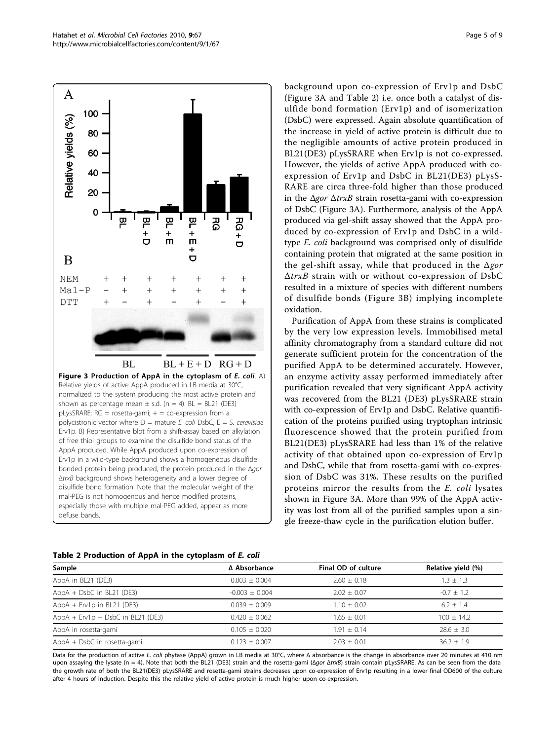<span id="page-4-0"></span>



Purification of AppA from these strains is complicated by the very low expression levels. Immobilised metal affinity chromatography from a standard culture did not generate sufficient protein for the concentration of the purified AppA to be determined accurately. However, an enzyme activity assay performed immediately after purification revealed that very significant AppA activity was recovered from the BL21 (DE3) pLysSRARE strain with co-expression of Erv1p and DsbC. Relative quantification of the proteins purified using tryptophan intrinsic fluorescence showed that the protein purified from BL21(DE3) pLysSRARE had less than 1% of the relative activity of that obtained upon co-expression of Erv1p and DsbC, while that from rosetta-gami with co-expression of DsbC was 31%. These results on the purified proteins mirror the results from the E. coli lysates shown in Figure 3A. More than 99% of the AppA activity was lost from all of the purified samples upon a single freeze-thaw cycle in the purification elution buffer.



| Sample                               | ∆ Absorbance       | Final OD of culture | Relative yield (%) |
|--------------------------------------|--------------------|---------------------|--------------------|
| AppA in BL21 (DE3)                   | $0.003 + 0.004$    | $2.60 + 0.18$       | $1.3 + 1.3$        |
| $AppA + DsbC$ in BL21 (DE3)          | $-0.003 \pm 0.004$ | $2.02 + 0.07$       | $-0.7 + 1.2$       |
| AppA + $Ev1p$ in BL21 (DE3)          | $0.039 \pm 0.009$  | $1.10 \pm 0.02$     | $6.2 + 1.4$        |
| AppA + $Ev1p$ + $Dsbc$ in BL21 (DE3) | $0.420 + 0.062$    | $1.65 + 0.01$       | $100 + 14.2$       |
| AppA in rosetta-gami                 | $0.105 \pm 0.020$  | $1.91 + 0.14$       | $28.6 \pm 3.0$     |
| AppA + DsbC in rosetta-gami          | $0.123 + 0.007$    | $2.03 + 0.01$       | $36.2 + 1.9$       |

Data for the production of active E. coli phytase (AppA) grown in LB media at 30°C, where Δ absorbance is the change in absorbance over 20 minutes at 410 nm upon assaying the lysate (n = 4). Note that both the BL21 (DE3) strain and the rosetta-gami (Δgor ΔtrxB) strain contain pLysSRARE. As can be seen from the data the growth rate of both the BL21(DE3) pLysSRARE and rosetta-gami strains decreases upon co-expression of Erv1p resulting in a lower final OD600 of the culture after 4 hours of induction. Despite this the relative yield of active protein is much higher upon co-expression.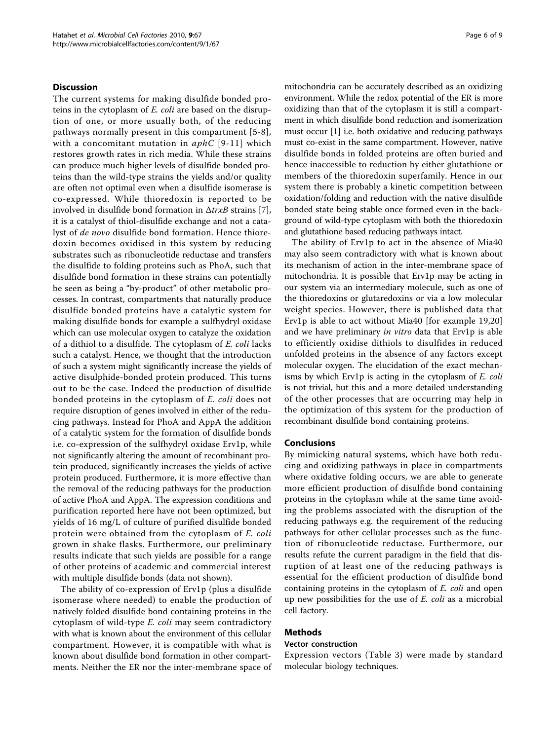# Discussion

The current systems for making disulfide bonded proteins in the cytoplasm of E. coli are based on the disruption of one, or more usually both, of the reducing pathways normally present in this compartment [[5-8\]](#page-8-0), with a concomitant mutation in  $aphC$  [[9](#page-8-0)-[11](#page-8-0)] which restores growth rates in rich media. While these strains can produce much higher levels of disulfide bonded proteins than the wild-type strains the yields and/or quality are often not optimal even when a disulfide isomerase is co-expressed. While thioredoxin is reported to be involved in disulfide bond formation in  $\Delta trxB$  strains [\[7](#page-8-0)], it is a catalyst of thiol-disulfide exchange and not a catalyst of de novo disulfide bond formation. Hence thioredoxin becomes oxidised in this system by reducing substrates such as ribonucleotide reductase and transfers the disulfide to folding proteins such as PhoA, such that disulfide bond formation in these strains can potentially be seen as being a "by-product" of other metabolic processes. In contrast, compartments that naturally produce disulfide bonded proteins have a catalytic system for making disulfide bonds for example a sulfhydryl oxidase which can use molecular oxygen to catalyze the oxidation of a dithiol to a disulfide. The cytoplasm of E. coli lacks such a catalyst. Hence, we thought that the introduction of such a system might significantly increase the yields of active disulphide-bonded protein produced. This turns out to be the case. Indeed the production of disulfide bonded proteins in the cytoplasm of E. coli does not require disruption of genes involved in either of the reducing pathways. Instead for PhoA and AppA the addition of a catalytic system for the formation of disulfide bonds i.e. co-expression of the sulfhydryl oxidase Erv1p, while not significantly altering the amount of recombinant protein produced, significantly increases the yields of active protein produced. Furthermore, it is more effective than the removal of the reducing pathways for the production of active PhoA and AppA. The expression conditions and purification reported here have not been optimized, but yields of 16 mg/L of culture of purified disulfide bonded protein were obtained from the cytoplasm of E. coli grown in shake flasks. Furthermore, our preliminary results indicate that such yields are possible for a range of other proteins of academic and commercial interest with multiple disulfide bonds (data not shown).

The ability of co-expression of Erv1p (plus a disulfide isomerase where needed) to enable the production of natively folded disulfide bond containing proteins in the cytoplasm of wild-type E. coli may seem contradictory with what is known about the environment of this cellular compartment. However, it is compatible with what is known about disulfide bond formation in other compartments. Neither the ER nor the inter-membrane space of mitochondria can be accurately described as an oxidizing environment. While the redox potential of the ER is more oxidizing than that of the cytoplasm it is still a compartment in which disulfide bond reduction and isomerization must occur [\[1](#page-8-0)] i.e. both oxidative and reducing pathways must co-exist in the same compartment. However, native disulfide bonds in folded proteins are often buried and hence inaccessible to reduction by either glutathione or members of the thioredoxin superfamily. Hence in our system there is probably a kinetic competition between oxidation/folding and reduction with the native disulfide bonded state being stable once formed even in the background of wild-type cytoplasm with both the thioredoxin and glutathione based reducing pathways intact.

The ability of Erv1p to act in the absence of Mia40 may also seem contradictory with what is known about its mechanism of action in the inter-membrane space of mitochondria. It is possible that Erv1p may be acting in our system via an intermediary molecule, such as one of the thioredoxins or glutaredoxins or via a low molecular weight species. However, there is published data that Erv1p is able to act without Mia40 [for example 19,20] and we have preliminary *in vitro* data that Erv1p is able to efficiently oxidise dithiols to disulfides in reduced unfolded proteins in the absence of any factors except molecular oxygen. The elucidation of the exact mechanisms by which Erv1p is acting in the cytoplasm of E. coli is not trivial, but this and a more detailed understanding of the other processes that are occurring may help in the optimization of this system for the production of recombinant disulfide bond containing proteins.

#### Conclusions

By mimicking natural systems, which have both reducing and oxidizing pathways in place in compartments where oxidative folding occurs, we are able to generate more efficient production of disulfide bond containing proteins in the cytoplasm while at the same time avoiding the problems associated with the disruption of the reducing pathways e.g. the requirement of the reducing pathways for other cellular processes such as the function of ribonucleotide reductase. Furthermore, our results refute the current paradigm in the field that disruption of at least one of the reducing pathways is essential for the efficient production of disulfide bond containing proteins in the cytoplasm of E. coli and open up new possibilities for the use of  $E$ . coli as a microbial cell factory.

### Methods

#### Vector construction

Expression vectors (Table [3](#page-6-0)) were made by standard molecular biology techniques.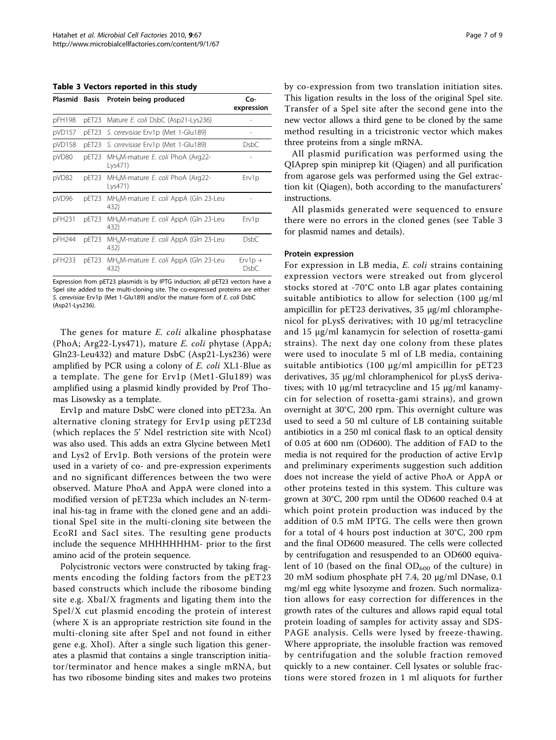<span id="page-6-0"></span>Table 3 Vectors reported in this study

| Plasmid | <b>Basis</b> | Protein being produced                                | Co-<br>expression |
|---------|--------------|-------------------------------------------------------|-------------------|
| pFH198  | pET23        | Mature E. coli DsbC (Asp21-Lys236)                    |                   |
| pVD157  |              | pET23 S. cerevisiae Erv1p (Met 1-Glu189)              |                   |
| pVD158  |              | pET23 S. cerevisiae Erv1p (Met 1-Glu189)              | DsbC              |
| pVD80   | pET23        | $MH6M$ -mature <i>E. coli</i> PhoA (Arq22-<br>Lys471) |                   |
| pVD82   | pET23        | $MH6M-mature E. coli PhoA (Arg22-$<br>Lys471)         | Erv1p             |
| pVD96   | pET23        | $MH6M-mature E. coli$ AppA (Gln 23-Leu<br>432)        |                   |
| pFH231  | pET23        | $MH6M-mature E. coli$ AppA (Gln 23-Leu<br>432)        | Erv1p             |
| pFH244  | pET23        | $MH6M-mature E. coli$ AppA (Gln 23-Leu<br>432)        | DsbC              |
| pFH233  | pET23        | $MH6M-mature E. coli$ AppA (Gln 23-Leu<br>432)        | $Erv1p +$<br>DsbC |

Expression from pET23 plasmids is by IPTG induction; all pET23 vectors have a SpeI site added to the multi-cloning site. The co-expressed proteins are either S. cerevisiae Erv1p (Met 1-Glu189) and/or the mature form of E. coli DsbC (Asp21-Lys236).

The genes for mature *E. coli* alkaline phosphatase (PhoA; Arg22-Lys471), mature E. coli phytase (AppA; Gln23-Leu432) and mature DsbC (Asp21-Lys236) were amplified by PCR using a colony of E. coli XL1-Blue as a template. The gene for Erv1p (Met1-Glu189) was amplified using a plasmid kindly provided by Prof Thomas Lisowsky as a template.

Erv1p and mature DsbC were cloned into pET23a. An alternative cloning strategy for Erv1p using pET23d (which replaces the 5' NdeI restriction site with NcoI) was also used. This adds an extra Glycine between Met1 and Lys2 of Erv1p. Both versions of the protein were used in a variety of co- and pre-expression experiments and no significant differences between the two were observed. Mature PhoA and AppA were cloned into a modified version of pET23a which includes an N-terminal his-tag in frame with the cloned gene and an additional SpeI site in the multi-cloning site between the EcoRI and SacI sites. The resulting gene products include the sequence MHHHHHHM- prior to the first amino acid of the protein sequence.

Polycistronic vectors were constructed by taking fragments encoding the folding factors from the pET23 based constructs which include the ribosome binding site e.g. XbaI/X fragments and ligating them into the SpeI/X cut plasmid encoding the protein of interest (where X is an appropriate restriction site found in the multi-cloning site after SpeI and not found in either gene e.g. XhoI). After a single such ligation this generates a plasmid that contains a single transcription initiator/terminator and hence makes a single mRNA, but has two ribosome binding sites and makes two proteins by co-expression from two translation initiation sites. This ligation results in the loss of the original SpeI site. Transfer of a SpeI site after the second gene into the new vector allows a third gene to be cloned by the same method resulting in a tricistronic vector which makes three proteins from a single mRNA.

All plasmid purification was performed using the QIAprep spin miniprep kit (Qiagen) and all purification from agarose gels was performed using the Gel extraction kit (Qiagen), both according to the manufacturers' instructions.

All plasmids generated were sequenced to ensure there were no errors in the cloned genes (see Table 3 for plasmid names and details).

#### Protein expression

For expression in LB media, E. coli strains containing expression vectors were streaked out from glycerol stocks stored at -70°C onto LB agar plates containing suitable antibiotics to allow for selection (100 μg/ml ampicillin for pET23 derivatives, 35 μg/ml chloramphenicol for pLysS derivatives; with 10 μg/ml tetracycline and 15 μg/ml kanamycin for selection of rosetta-gami strains). The next day one colony from these plates were used to inoculate 5 ml of LB media, containing suitable antibiotics (100 μg/ml ampicillin for pET23 derivatives, 35 μg/ml chloramphenicol for pLysS derivatives; with 10 μg/ml tetracycline and 15 μg/ml kanamycin for selection of rosetta-gami strains), and grown overnight at 30°C, 200 rpm. This overnight culture was used to seed a 50 ml culture of LB containing suitable antibiotics in a 250 ml conical flask to an optical density of 0.05 at 600 nm (OD600). The addition of FAD to the media is not required for the production of active Erv1p and preliminary experiments suggestion such addition does not increase the yield of active PhoA or AppA or other proteins tested in this system. This culture was grown at 30°C, 200 rpm until the OD600 reached 0.4 at which point protein production was induced by the addition of 0.5 mM IPTG. The cells were then grown for a total of 4 hours post induction at 30°C, 200 rpm and the final OD600 measured. The cells were collected by centrifugation and resuspended to an OD600 equivalent of 10 (based on the final  $OD_{600}$  of the culture) in 20 mM sodium phosphate pH 7.4, 20 μg/ml DNase, 0.1 mg/ml egg white lysozyme and frozen. Such normalization allows for easy correction for differences in the growth rates of the cultures and allows rapid equal total protein loading of samples for activity assay and SDS-PAGE analysis. Cells were lysed by freeze-thawing. Where appropriate, the insoluble fraction was removed by centrifugation and the soluble fraction removed quickly to a new container. Cell lysates or soluble fractions were stored frozen in 1 ml aliquots for further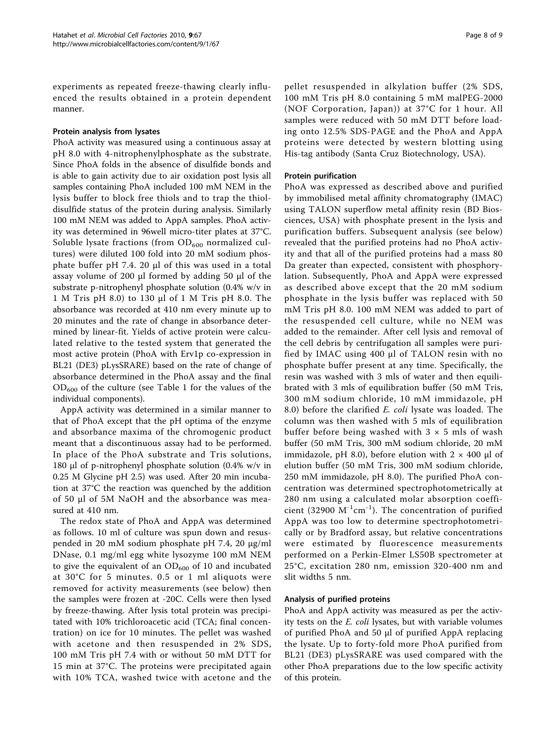experiments as repeated freeze-thawing clearly influenced the results obtained in a protein dependent manner.

# Protein analysis from lysates

PhoA activity was measured using a continuous assay at pH 8.0 with 4-nitrophenylphosphate as the substrate. Since PhoA folds in the absence of disulfide bonds and is able to gain activity due to air oxidation post lysis all samples containing PhoA included 100 mM NEM in the lysis buffer to block free thiols and to trap the thioldisulfide status of the protein during analysis. Similarly 100 mM NEM was added to AppA samples. PhoA activity was determined in 96well micro-titer plates at 37°C. Soluble lysate fractions (from  $OD_{600}$  normalized cultures) were diluted 100 fold into 20 mM sodium phosphate buffer pH 7.4. 20 μl of this was used in a total assay volume of 200 μl formed by adding 50 μl of the substrate p-nitrophenyl phosphate solution (0.4% w/v in 1 M Tris pH 8.0) to 130 μl of 1 M Tris pH 8.0. The absorbance was recorded at 410 nm every minute up to 20 minutes and the rate of change in absorbance determined by linear-fit. Yields of active protein were calculated relative to the tested system that generated the most active protein (PhoA with Erv1p co-expression in BL21 (DE3) pLysSRARE) based on the rate of change of absorbance determined in the PhoA assay and the final  $OD_{600}$  of the culture (see Table [1](#page-2-0) for the values of the individual components).

AppA activity was determined in a similar manner to that of PhoA except that the pH optima of the enzyme and absorbance maxima of the chromogenic product meant that a discontinuous assay had to be performed. In place of the PhoA substrate and Tris solutions, 180 μl of p-nitrophenyl phosphate solution (0.4% w/v in 0.25 M Glycine pH 2.5) was used. After 20 min incubation at 37°C the reaction was quenched by the addition of 50 μl of 5M NaOH and the absorbance was measured at 410 nm.

The redox state of PhoA and AppA was determined as follows. 10 ml of culture was spun down and resuspended in 20 mM sodium phosphate pH 7.4, 20 μg/ml DNase, 0.1 mg/ml egg white lysozyme 100 mM NEM to give the equivalent of an  $OD_{600}$  of 10 and incubated at 30°C for 5 minutes. 0.5 or 1 ml aliquots were removed for activity measurements (see below) then the samples were frozen at -20C. Cells were then lysed by freeze-thawing. After lysis total protein was precipitated with 10% trichloroacetic acid (TCA; final concentration) on ice for 10 minutes. The pellet was washed with acetone and then resuspended in 2% SDS, 100 mM Tris pH 7.4 with or without 50 mM DTT for 15 min at 37°C. The proteins were precipitated again with 10% TCA, washed twice with acetone and the pellet resuspended in alkylation buffer (2% SDS, 100 mM Tris pH 8.0 containing 5 mM malPEG-2000 (NOF Corporation, Japan)) at 37°C for 1 hour. All samples were reduced with 50 mM DTT before loading onto 12.5% SDS-PAGE and the PhoA and AppA proteins were detected by western blotting using His-tag antibody (Santa Cruz Biotechnology, USA).

# Protein purification

PhoA was expressed as described above and purified by immobilised metal affinity chromatography (IMAC) using TALON superflow metal affinity resin (BD Biosciences, USA) with phosphate present in the lysis and purification buffers. Subsequent analysis (see below) revealed that the purified proteins had no PhoA activity and that all of the purified proteins had a mass 80 Da greater than expected, consistent with phosphorylation. Subsequently, PhoA and AppA were expressed as described above except that the 20 mM sodium phosphate in the lysis buffer was replaced with 50 mM Tris pH 8.0. 100 mM NEM was added to part of the resuspended cell culture, while no NEM was added to the remainder. After cell lysis and removal of the cell debris by centrifugation all samples were purified by IMAC using 400 μl of TALON resin with no phosphate buffer present at any time. Specifically, the resin was washed with 3 mls of water and then equilibrated with 3 mls of equilibration buffer (50 mM Tris, 300 mM sodium chloride, 10 mM immidazole, pH 8.0) before the clarified E. coli lysate was loaded. The column was then washed with 5 mls of equilibration buffer before being washed with  $3 \times 5$  mls of wash buffer (50 mM Tris, 300 mM sodium chloride, 20 mM immidazole, pH 8.0), before elution with  $2 \times 400$  µl of elution buffer (50 mM Tris, 300 mM sodium chloride, 250 mM immidazole, pH 8.0). The purified PhoA concentration was determined spectrophotometrically at 280 nm using a calculated molar absorption coefficient (32900  $M^{-1}cm^{-1}$ ). The concentration of purified AppA was too low to determine spectrophotometrically or by Bradford assay, but relative concentrations were estimated by fluorescence measurements performed on a Perkin-Elmer LS50B spectrometer at 25°C, excitation 280 nm, emission 320-400 nm and slit widths 5 nm.

### Analysis of purified proteins

PhoA and AppA activity was measured as per the activity tests on the E. coli lysates, but with variable volumes of purified PhoA and 50 μl of purified AppA replacing the lysate. Up to forty-fold more PhoA purified from BL21 (DE3) pLysSRARE was used compared with the other PhoA preparations due to the low specific activity of this protein.